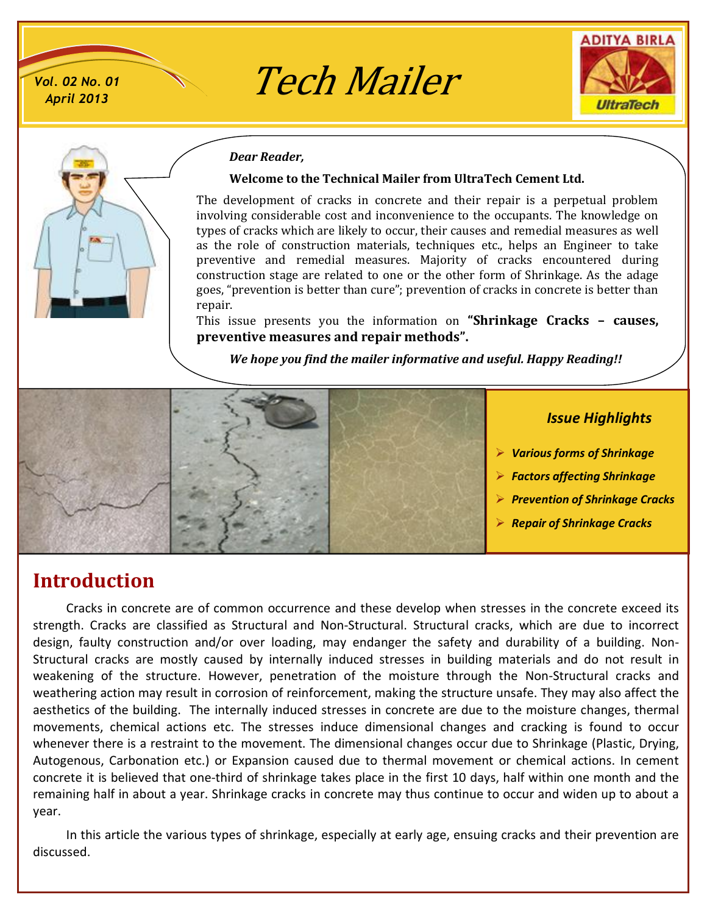*Vol. 02 No. 01*

# ol. 02 No. 01 **Tech Mailer**





#### *Dear Reader,*

#### **Welcome to the Technical Mailer from UltraTech Cement Ltd.**

The development of cracks in concrete and their repair is a perpetual problem involving considerable cost and inconvenience to the occupants. The knowledge on types of cracks which are likely to occur, their causes and remedial measures as well as the role of construction materials, techniques etc., helps an Engineer to take preventive and remedial measures. Majority of cracks encountered during construction stage are related to one or the other form of Shrinkage. As the adage goes, "prevention is better than cure"; prevention of cracks in concrete is better than repair.

This issue presents you the information on **"Shrinkage Cracks – causes, preventive measures and repair methods".**

*We hope you find the mailer informative and useful. Happy Reading!!*



- ÿ *Various forms of Shrinkage*
- ÿ *Factors affecting Shrinkage*
- ÿ *Prevention of Shrinkage Cracks*
- ÿ *Repair of Shrinkage Cracks*

# **Introduction**

Cracks in concrete are of common occurrence and these develop when stresses in the concrete exceed its strength. Cracks are classified as Structural and Non-Structural. Structural cracks, which are due to incorrect design, faulty construction and/or over loading, may endanger the safety and durability of a building. Non-Structural cracks are mostly caused by internally induced stresses in building materials and do not result in weakening of the structure. However, penetration of the moisture through the Non-Structural cracks and weathering action may result in corrosion of reinforcement, making the structure unsafe. They may also affect the aesthetics of the building. The internally induced stresses in concrete are due to the moisture changes, thermal movements, chemical actions etc. The stresses induce dimensional changes and cracking is found to occur whenever there is a restraint to the movement. The dimensional changes occur due to Shrinkage (Plastic, Drying, Autogenous, Carbonation etc.) or Expansion caused due to thermal movement or chemical actions. In cement concrete it is believed that one-third of shrinkage takes place in the first 10 days, half within one month and the remaining half in about a year. Shrinkage cracks in concrete may thus continue to occur and widen up to about a year.

In this article the various types of shrinkage, especially at early age, ensuing cracks and their prevention are discussed.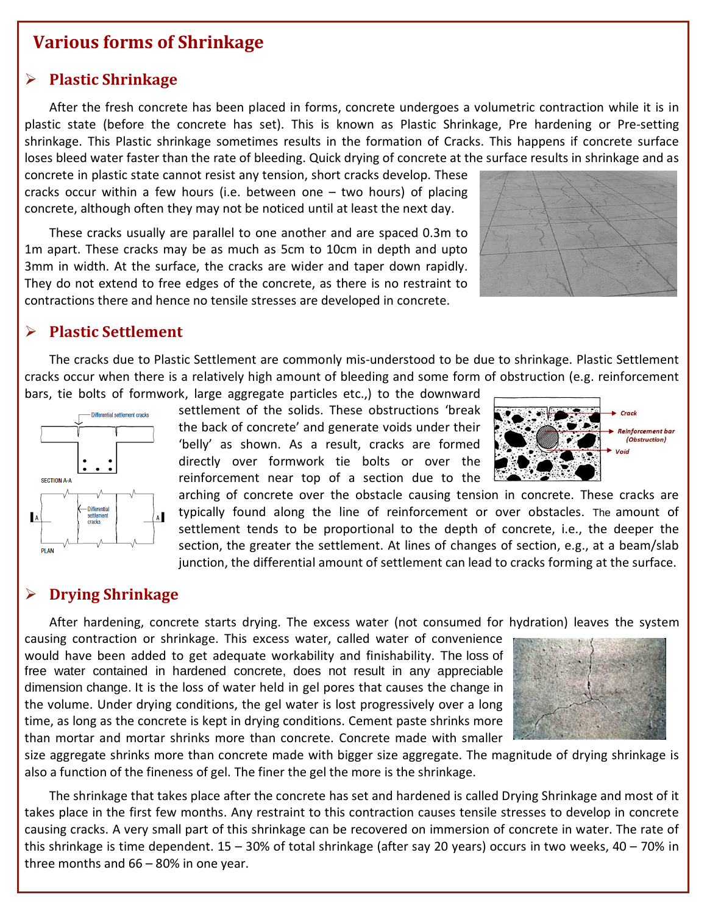## **Various forms of Shrinkage**

#### ÿ **Plastic Shrinkage**

After the fresh concrete has been placed in forms, concrete undergoes a volumetric contraction while it is in plastic state (before the concrete has set). This is known as Plastic Shrinkage, Pre hardening or Pre-setting shrinkage. This Plastic shrinkage sometimes results in the formation of Cracks. This happens if concrete surface loses bleed water faster than the rate of bleeding. Quick drying of concrete at the surface results in shrinkage and as

concrete in plastic state cannot resist any tension, short cracks develop. These cracks occur within a few hours (i.e. between one – two hours) of placing concrete, although often they may not be noticed until at least the next day.

These cracks usually are parallel to one another and are spaced 0.3m to 1m apart. These cracks may be as much as 5cm to 10cm in depth and upto 3mm in width. At the surface, the cracks are wider and taper down rapidly. They do not extend to free edges of the concrete, as there is no restraint to contractions there and hence no tensile stresses are developed in concrete.



## ÿ **Plastic Settlement**

The cracks due to Plastic Settlement are commonly mis-understood to be due to shrinkage. Plastic Settlement cracks occur when there is a relatively high amount of bleeding and some form of obstruction (e.g. reinforcement bars, tie bolts of formwork, large aggregate particles etc.,) to the downward



settlement of the solids. These obstructions 'break the back of concrete' and generate voids under their 'belly' as shown. As a result, cracks are formed directly over formwork tie bolts or over the reinforcement near top of a section due to the



arching of concrete over the obstacle causing tension in concrete. These cracks are typically found along the line of reinforcement or over obstacles. The amount of settlement tends to be proportional to the depth of concrete, i.e., the deeper the section, the greater the settlement. At lines of changes of section, e.g., at a beam/slab junction, the differential amount of settlement can lead to cracks forming at the surface.

## ÿ **Drying Shrinkage**

After hardening, concrete starts drying. The excess water (not consumed for hydration) leaves the system

causing contraction or shrinkage. This excess water, called water of convenience would have been added to get adequate workability and finishability. The loss of free water contained in hardened concrete, does not result in any appreciable dimension change. It is the loss of water held in gel pores that causes the change in the volume. Under drying conditions, the gel water is lost progressively over a long time, as long as the concrete is kept in drying conditions. Cement paste shrinks more than mortar and mortar shrinks more than concrete. Concrete made with smaller



size aggregate shrinks more than concrete made with bigger size aggregate. The magnitude of drying shrinkage is also a function of the fineness of gel. The finer the gel the more is the shrinkage.

The shrinkage that takes place after the concrete has set and hardened is called Drying Shrinkage and most of it takes place in the first few months. Any restraint to this contraction causes tensile stresses to develop in concrete causing cracks. A very small part of this shrinkage can be recovered on immersion of concrete in water. The rate of this shrinkage is time dependent. 15 – 30% of total shrinkage (after say 20 years) occurs in two weeks, 40 – 70% in three months and 66 – 80% in one year.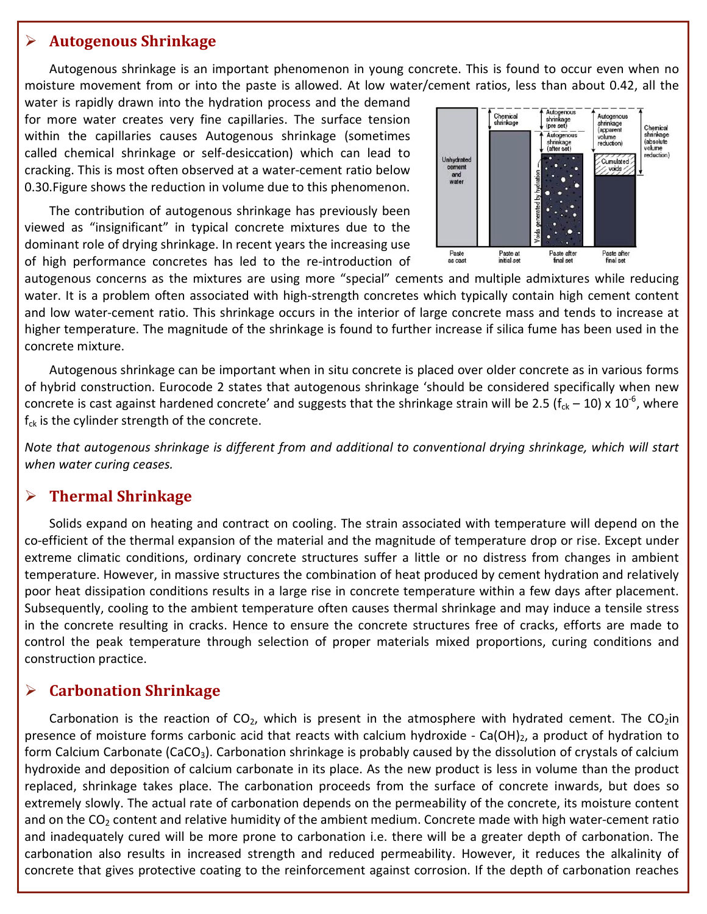#### ÿ **Autogenous Shrinkage**

Autogenous shrinkage is an important phenomenon in young concrete. This is found to occur even when no moisture movement from or into the paste is allowed. At low water/cement ratios, less than about 0.42, all the

water is rapidly drawn into the hydration process and the demand for more water creates very fine capillaries. The surface tension within the capillaries causes Autogenous shrinkage (sometimes called chemical shrinkage or self-desiccation) which can lead to cracking. This is most often observed at a water-cement ratio below 0.30.Figure shows the reduction in volume due to this phenomenon.

The contribution of autogenous shrinkage has previously been viewed as "insignificant" in typical concrete mixtures due to the dominant role of drying shrinkage. In recent years the increasing use of high performance concretes has led to the re-introduction of



autogenous concerns as the mixtures are using more "special" cements and multiple admixtures while reducing water. It is a problem often associated with high-strength concretes which typically contain high cement content and low water-cement ratio. This shrinkage occurs in the interior of large concrete mass and tends to increase at higher temperature. The magnitude of the shrinkage is found to further increase if silica fume has been used in the concrete mixture.

Autogenous shrinkage can be important when in situ concrete is placed over older concrete as in various forms of hybrid construction. Eurocode 2 states that autogenous shrinkage 'should be considered specifically when new concrete is cast against hardened concrete' and suggests that the shrinkage strain will be 2.5 ( $f_{ck}$  – 10) x 10<sup>-6</sup>, where  $f_{ck}$  is the cylinder strength of the concrete.

*Note that autogenous shrinkage is different from and additional to conventional drying shrinkage, which will start when water curing ceases.*

## ÿ **Thermal Shrinkage**

Solids expand on heating and contract on cooling. The strain associated with temperature will depend on the co-efficient of the thermal expansion of the material and the magnitude of temperature drop or rise. Except under extreme climatic conditions, ordinary concrete structures suffer a little or no distress from changes in ambient temperature. However, in massive structures the combination of heat produced by cement hydration and relatively poor heat dissipation conditions results in a large rise in concrete temperature within a few days after placement. Subsequently, cooling to the ambient temperature often causes thermal shrinkage and may induce a tensile stress in the concrete resulting in cracks. Hence to ensure the concrete structures free of cracks, efforts are made to control the peak temperature through selection of proper materials mixed proportions, curing conditions and construction practice.

## ÿ **Carbonation Shrinkage**

Carbonation is the reaction of  $CO<sub>2</sub>$ , which is present in the atmosphere with hydrated cement. The  $CO<sub>2</sub>$ in presence of moisture forms carbonic acid that reacts with calcium hydroxide - Ca(OH)<sub>2</sub>, a product of hydration to form Calcium Carbonate (CaCO<sub>3</sub>). Carbonation shrinkage is probably caused by the dissolution of crystals of calcium hydroxide and deposition of calcium carbonate in its place. As the new product is less in volume than the product replaced, shrinkage takes place. The carbonation proceeds from the surface of concrete inwards, but does so extremely slowly. The actual rate of carbonation depends on the permeability of the concrete, its moisture content and on the CO<sub>2</sub> content and relative humidity of the ambient medium. Concrete made with high water-cement ratio and inadequately cured will be more prone to carbonation i.e. there will be a greater depth of carbonation. The carbonation also results in increased strength and reduced permeability. However, it reduces the alkalinity of concrete that gives protective coating to the reinforcement against corrosion. If the depth of carbonation reaches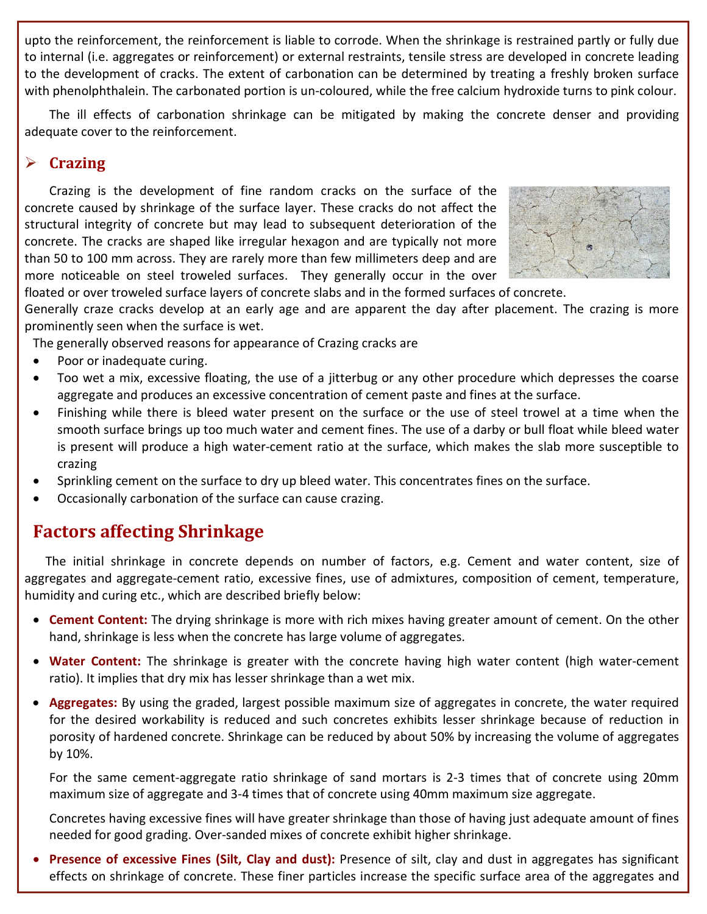upto the reinforcement, the reinforcement is liable to corrode. When the shrinkage is restrained partly or fully due to internal (i.e. aggregates or reinforcement) or external restraints, tensile stress are developed in concrete leading to the development of cracks. The extent of carbonation can be determined by treating a freshly broken surface with phenolphthalein. The carbonated portion is un-coloured, while the free calcium hydroxide turns to pink colour.

The ill effects of carbonation shrinkage can be mitigated by making the concrete denser and providing adequate cover to the reinforcement.

## ÿ **Crazing**

Crazing is the development of fine random cracks on the surface of the concrete caused by shrinkage of the surface layer. These cracks do not affect the structural integrity of concrete but may lead to subsequent deterioration of the concrete. The cracks are shaped like irregular hexagon and are typically not more than 50 to 100 mm across. They are rarely more than few millimeters deep and are more noticeable on steel troweled surfaces. They generally occur in the over



floated or over troweled surface layers of concrete slabs and in the formed surfaces of concrete.

Generally craze cracks develop at an early age and are apparent the day after placement. The crazing is more prominently seen when the surface is wet.

The generally observed reasons for appearance of Crazing cracks are

- · Poor or inadequate curing.
- · Too wet a mix, excessive floating, the use of a jitterbug or any other procedure which depresses the coarse aggregate and produces an excessive concentration of cement paste and fines at the surface.
- · Finishing while there is bleed water present on the surface or the use of steel trowel at a time when the smooth surface brings up too much water and cement fines. The use of a darby or bull float while bleed water is present will produce a high water-cement ratio at the surface, which makes the slab more susceptible to crazing
- · Sprinkling cement on the surface to dry up bleed water. This concentrates fines on the surface.
- · Occasionally carbonation of the surface can cause crazing.

# **Factors affecting Shrinkage**

The initial shrinkage in concrete depends on number of factors, e.g. Cement and water content, size of aggregates and aggregate-cement ratio, excessive fines, use of admixtures, composition of cement, temperature, humidity and curing etc., which are described briefly below:

- · **Cement Content:** The drying shrinkage is more with rich mixes having greater amount of cement. On the other hand, shrinkage is less when the concrete has large volume of aggregates.
- · **Water Content:** The shrinkage is greater with the concrete having high water content (high water-cement ratio). It implies that dry mix has lesser shrinkage than a wet mix.
- · **Aggregates:** By using the graded, largest possible maximum size of aggregates in concrete, the water required for the desired workability is reduced and such concretes exhibits lesser shrinkage because of reduction in porosity of hardened concrete. Shrinkage can be reduced by about 50% by increasing the volume of aggregates by 10%.

For the same cement-aggregate ratio shrinkage of sand mortars is 2-3 times that of concrete using 20mm maximum size of aggregate and 3-4 times that of concrete using 40mm maximum size aggregate.

Concretes having excessive fines will have greater shrinkage than those of having just adequate amount of fines needed for good grading. Over-sanded mixes of concrete exhibit higher shrinkage.

**Presence of excessive Fines (Silt, Clay and dust):** Presence of silt, clay and dust in aggregates has significant effects on shrinkage of concrete. These finer particles increase the specific surface area of the aggregates and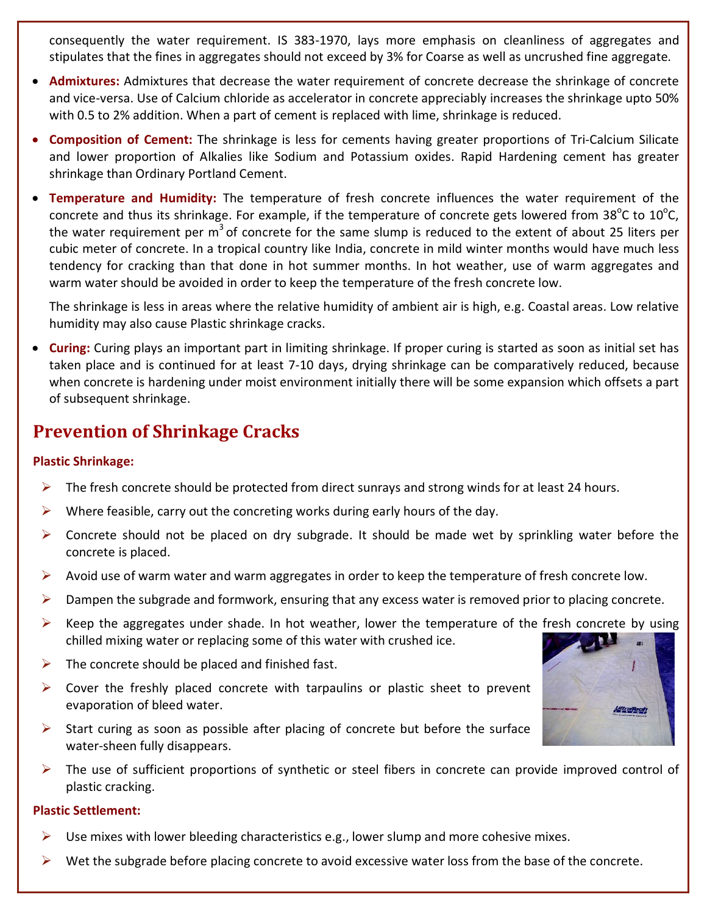consequently the water requirement. IS 383-1970, lays more emphasis on cleanliness of aggregates and stipulates that the fines in aggregates should not exceed by 3% for Coarse as well as uncrushed fine aggregate.

- · **Admixtures:** Admixtures that decrease the water requirement of concrete decrease the shrinkage of concrete and vice-versa. Use of Calcium chloride as accelerator in concrete appreciably increases the shrinkage upto 50% with 0.5 to 2% addition. When a part of cement is replaced with lime, shrinkage is reduced.
- · **Composition of Cement:** The shrinkage is less for cements having greater proportions of Tri-Calcium Silicate and lower proportion of Alkalies like Sodium and Potassium oxides. Rapid Hardening cement has greater shrinkage than Ordinary Portland Cement.
- · **Temperature and Humidity:** The temperature of fresh concrete influences the water requirement of the concrete and thus its shrinkage. For example, if the temperature of concrete gets lowered from 38<sup>o</sup>C to 10<sup>o</sup>C, the water requirement per  $m<sup>3</sup>$  of concrete for the same slump is reduced to the extent of about 25 liters per cubic meter of concrete. In a tropical country like India, concrete in mild winter months would have much less tendency for cracking than that done in hot summer months. In hot weather, use of warm aggregates and warm water should be avoided in order to keep the temperature of the fresh concrete low.

The shrinkage is less in areas where the relative humidity of ambient air is high, e.g. Coastal areas. Low relative humidity may also cause Plastic shrinkage cracks.

· **Curing:** Curing plays an important part in limiting shrinkage. If proper curing is started as soon as initial set has taken place and is continued for at least 7-10 days, drying shrinkage can be comparatively reduced, because when concrete is hardening under moist environment initially there will be some expansion which offsets a part of subsequent shrinkage.

# **Prevention of Shrinkage Cracks**

#### **Plastic Shrinkage:**

- $\triangleright$  The fresh concrete should be protected from direct sunrays and strong winds for at least 24 hours.
- $\triangleright$  Where feasible, carry out the concreting works during early hours of the day.
- $\triangleright$  Concrete should not be placed on dry subgrade. It should be made wet by sprinkling water before the concrete is placed.
- $\triangleright$  Avoid use of warm water and warm aggregates in order to keep the temperature of fresh concrete low.
- $\triangleright$  Dampen the subgrade and formwork, ensuring that any excess water is removed prior to placing concrete.
- $\triangleright$  Keep the aggregates under shade. In hot weather, lower the temperature of the fresh concrete by using chilled mixing water or replacing some of this water with crushed ice.
- $\triangleright$  The concrete should be placed and finished fast.
- $\triangleright$  Cover the freshly placed concrete with tarpaulins or plastic sheet to prevent evaporation of bleed water.
- $\triangleright$  Start curing as soon as possible after placing of concrete but before the surface water-sheen fully disappears.
- $\triangleright$  The use of sufficient proportions of synthetic or steel fibers in concrete can provide improved control of plastic cracking.

#### **Plastic Settlement:**

- $\triangleright$  Use mixes with lower bleeding characteristics e.g., lower slump and more cohesive mixes.
- $\triangleright$  Wet the subgrade before placing concrete to avoid excessive water loss from the base of the concrete.

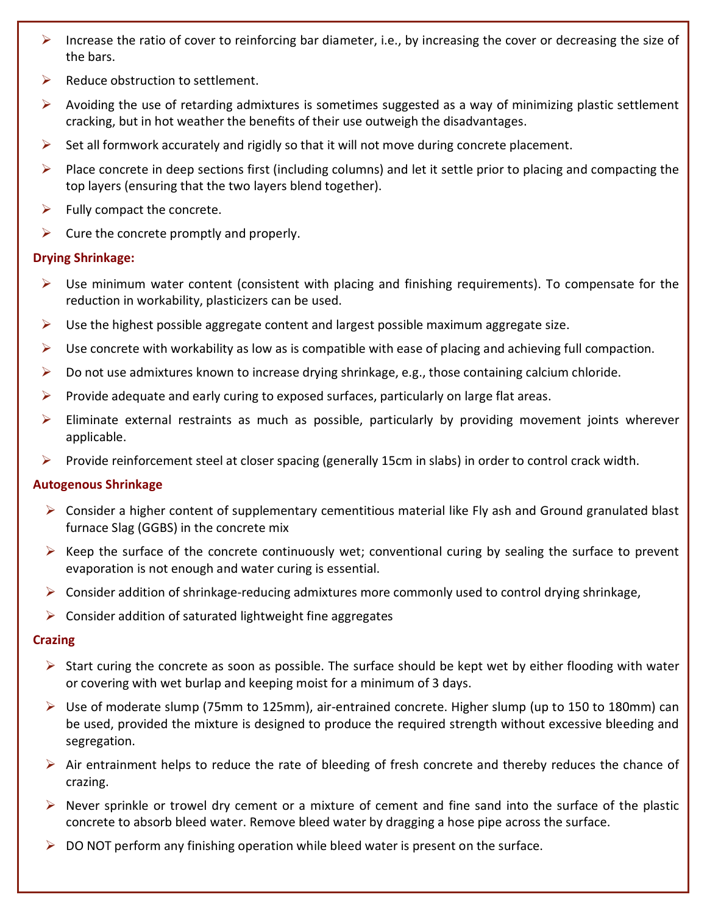- $\triangleright$  Increase the ratio of cover to reinforcing bar diameter, i.e., by increasing the cover or decreasing the size of the bars.
- Reduce obstruction to settlement.
- $\triangleright$  Avoiding the use of retarding admixtures is sometimes suggested as a way of minimizing plastic settlement cracking, but in hot weather the benefits of their use outweigh the disadvantages.
- $\triangleright$  Set all formwork accurately and rigidly so that it will not move during concrete placement.
- $\triangleright$  Place concrete in deep sections first (including columns) and let it settle prior to placing and compacting the top layers (ensuring that the two layers blend together).
- $\blacktriangleright$  Fully compact the concrete.
- $\triangleright$  Cure the concrete promptly and properly.

## **Drying Shrinkage:**

- $\triangleright$  Use minimum water content (consistent with placing and finishing requirements). To compensate for the reduction in workability, plasticizers can be used.
- $\triangleright$  Use the highest possible aggregate content and largest possible maximum aggregate size.
- $\triangleright$  Use concrete with workability as low as is compatible with ease of placing and achieving full compaction.
- $\triangleright$  Do not use admixtures known to increase drying shrinkage, e.g., those containing calcium chloride.
- $\triangleright$  Provide adequate and early curing to exposed surfaces, particularly on large flat areas.
- $\triangleright$  Eliminate external restraints as much as possible, particularly by providing movement joints wherever applicable.
- $\triangleright$  Provide reinforcement steel at closer spacing (generally 15cm in slabs) in order to control crack width.

#### **Autogenous Shrinkage**

- $\triangleright$  Consider a higher content of supplementary cementitious material like Fly ash and Ground granulated blast furnace Slag (GGBS) in the concrete mix
- $\triangleright$  Keep the surface of the concrete continuously wet; conventional curing by sealing the surface to prevent evaporation is not enough and water curing is essential.
- $\triangleright$  Consider addition of shrinkage-reducing admixtures more commonly used to control drying shrinkage,
- $\triangleright$  Consider addition of saturated lightweight fine aggregates

## **Crazing**

- $\triangleright$  Start curing the concrete as soon as possible. The surface should be kept wet by either flooding with water or covering with wet burlap and keeping moist for a minimum of 3 days.
- $\triangleright$  Use of moderate slump (75mm to 125mm), air-entrained concrete. Higher slump (up to 150 to 180mm) can be used, provided the mixture is designed to produce the required strength without excessive bleeding and segregation.
- $\triangleright$  Air entrainment helps to reduce the rate of bleeding of fresh concrete and thereby reduces the chance of crazing.
- $\triangleright$  Never sprinkle or trowel dry cement or a mixture of cement and fine sand into the surface of the plastic concrete to absorb bleed water. Remove bleed water by dragging a hose pipe across the surface.
- $\triangleright$  DO NOT perform any finishing operation while bleed water is present on the surface.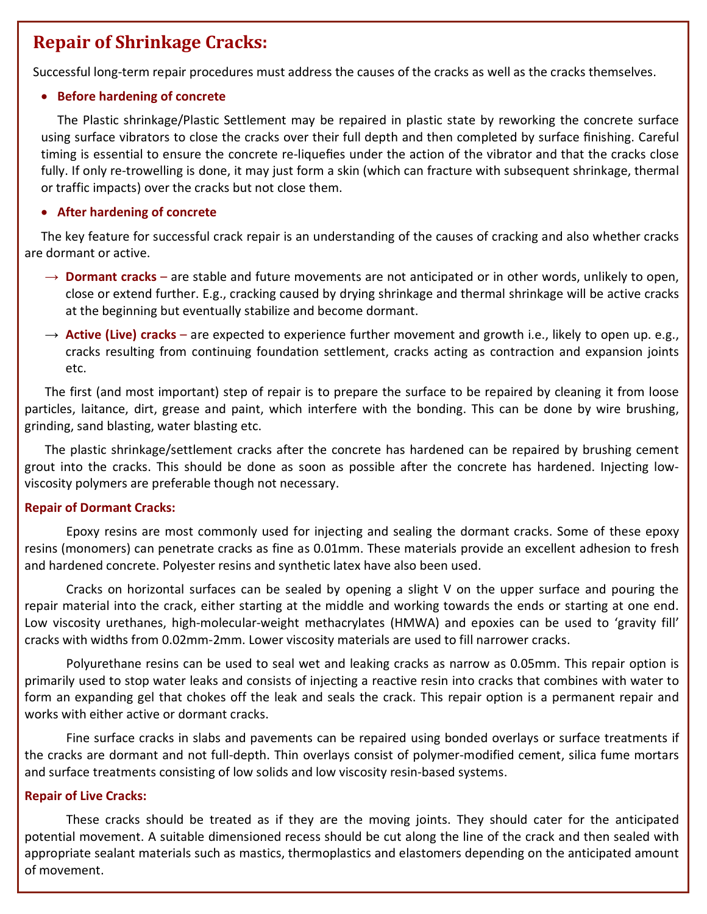# **Repair of Shrinkage Cracks:**

Successful long-term repair procedures must address the causes of the cracks as well as the cracks themselves.

#### · **Before hardening of concrete**

The Plastic shrinkage/Plastic Settlement may be repaired in plastic state by reworking the concrete surface using surface vibrators to close the cracks over their full depth and then completed by surface finishing. Careful timing is essential to ensure the concrete re-liquefies under the action of the vibrator and that the cracks close fully. If only re-trowelling is done, it may just form a skin (which can fracture with subsequent shrinkage, thermal or traffic impacts) over the cracks but not close them.

#### · **After hardening of concrete**

The key feature for successful crack repair is an understanding of the causes of cracking and also whether cracks are dormant or active.

- $\rightarrow$  **Dormant cracks** are stable and future movements are not anticipated or in other words, unlikely to open, close or extend further. E.g., cracking caused by drying shrinkage and thermal shrinkage will be active cracks at the beginning but eventually stabilize and become dormant.
- $\rightarrow$  Active (Live) cracks are expected to experience further movement and growth i.e., likely to open up. e.g., cracks resulting from continuing foundation settlement, cracks acting as contraction and expansion joints etc.

The first (and most important) step of repair is to prepare the surface to be repaired by cleaning it from loose particles, laitance, dirt, grease and paint, which interfere with the bonding. This can be done by wire brushing, grinding, sand blasting, water blasting etc.

The plastic shrinkage/settlement cracks after the concrete has hardened can be repaired by brushing cement grout into the cracks. This should be done as soon as possible after the concrete has hardened. Injecting lowviscosity polymers are preferable though not necessary.

#### **Repair of Dormant Cracks:**

Epoxy resins are most commonly used for injecting and sealing the dormant cracks. Some of these epoxy resins (monomers) can penetrate cracks as fine as 0.01mm. These materials provide an excellent adhesion to fresh and hardened concrete. Polyester resins and synthetic latex have also been used.

Cracks on horizontal surfaces can be sealed by opening a slight V on the upper surface and pouring the repair material into the crack, either starting at the middle and working towards the ends or starting at one end. Low viscosity urethanes, high-molecular-weight methacrylates (HMWA) and epoxies can be used to 'gravity fill' cracks with widths from 0.02mm-2mm. Lower viscosity materials are used to fill narrower cracks.

Polyurethane resins can be used to seal wet and leaking cracks as narrow as 0.05mm. This repair option is primarily used to stop water leaks and consists of injecting a reactive resin into cracks that combines with water to form an expanding gel that chokes off the leak and seals the crack. This repair option is a permanent repair and works with either active or dormant cracks.

Fine surface cracks in slabs and pavements can be repaired using bonded overlays or surface treatments if the cracks are dormant and not full-depth. Thin overlays consist of polymer-modified cement, silica fume mortars and surface treatments consisting of low solids and low viscosity resin-based systems.

#### **Repair of Live Cracks:**

These cracks should be treated as if they are the moving joints. They should cater for the anticipated potential movement. A suitable dimensioned recess should be cut along the line of the crack and then sealed with appropriate sealant materials such as mastics, thermoplastics and elastomers depending on the anticipated amount of movement.